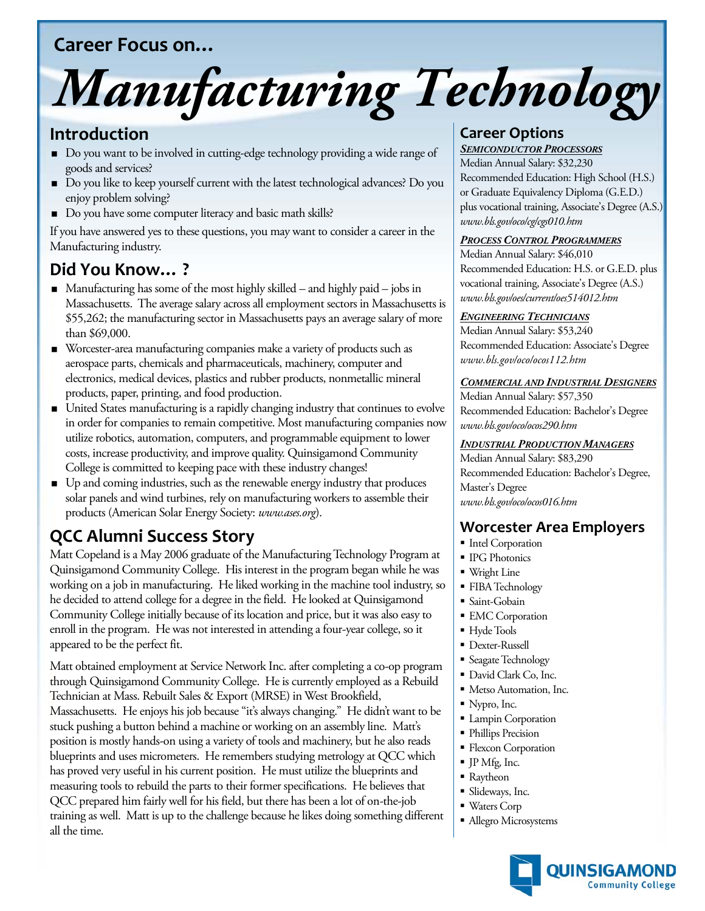# **Career Focus on…**

# *Manufacturing Technology*

## **Introduction**

- Do you want to be involved in cutting-edge technology providing a wide range of goods and services?
- Do you like to keep yourself current with the latest technological advances? Do you enjoy problem solving?
- Do you have some computer literacy and basic math skills?

If you have answered yes to these questions, you may want to consider a career in the Manufacturing industry.

# **Did You Know… ?**

- $\blacksquare$  Manufacturing has some of the most highly skilled and highly paid jobs in Massachusetts. The average salary across all employment sectors in Massachusetts is \$55,262; the manufacturing sector in Massachusetts pays an average salary of more than \$69,000.
- Worcester-area manufacturing companies make a variety of products such as aerospace parts, chemicals and pharmaceuticals, machinery, computer and electronics, medical devices, plastics and rubber products, nonmetallic mineral products, paper, printing, and food production.
- United States manufacturing is a rapidly changing industry that continues to evolve in order for companies to remain competitive. Most manufacturing companies now utilize robotics, automation, computers, and programmable equipment to lower costs, increase productivity, and improve quality. Quinsigamond Community College is committed to keeping pace with these industry changes!
- Up and coming industries, such as the renewable energy industry that produces solar panels and wind turbines, rely on manufacturing workers to assemble their products (American Solar Energy Society: *www.ases.org*).

# **QCC Alumni Success Story**

Matt Copeland is a May 2006 graduate of the Manufacturing Technology Program at Quinsigamond Community College. His interest in the program began while he was working on a job in manufacturing. He liked working in the machine tool industry, so he decided to attend college for a degree in the field. He looked at Quinsigamond Community College initially because of its location and price, but it was also easy to enroll in the program. He was not interested in attending a four-year college, so it appeared to be the perfect fit.

Matt obtained employment at Service Network Inc. after completing a co-op program through Quinsigamond Community College. He is currently employed as a Rebuild Technician at Mass. Rebuilt Sales & Export (MRSE) in West Brookfield, Massachusetts. He enjoys his job because "it's always changing." He didn't want to be stuck pushing a button behind a machine or working on an assembly line. Matt's position is mostly hands-on using a variety of tools and machinery, but he also reads blueprints and uses micrometers. He remembers studying metrology at QCC which has proved very useful in his current position. He must utilize the blueprints and measuring tools to rebuild the parts to their former specifications. He believes that QCC prepared him fairly well for his field, but there has been a lot of on-the-job training as well. Matt is up to the challenge because he likes doing something different all the time.

# **Career Options**

Median Annual Salary: \$32,230 *SEMICONDUCTOR PROCESSORS* Recommended Education: High School (H.S.) or Graduate Equivalency Diploma (G.E.D.) plus vocational training, Associate's Degree (A.S.) *www.bls.gov/oco/cg/cgs010.htm*

#### *PROCESS CONTROL PROGRAMMERS*

Median Annual Salary: \$46,010 Recommended Education: H.S. or G.E.D. plus vocational training, Associate's Degree (A.S.) *www.bls.gov/oes/current/oes514012.htm*

#### *ENGINEERING TECHNICIANS*

Median Annual Salary: \$53,240 Recommended Education: Associate's Degree *www.bls.gov/oco/ocos112.htm*

#### *COMMERCIAL AND INDUSTRIAL DESIGNERS*

Median Annual Salary: \$57,350 Recommended Education: Bachelor's Degree *www.bls.gov/oco/ocos290.htm*

#### *INDUSTRIAL PRODUCTION MANAGERS*

Median Annual Salary: \$83,290 Recommended Education: Bachelor's Degree, Master's Degree *www.bls.gov/oco/ocos016.htm*

## **Worcester Area Employers**

- **Intel Corporation**
- **IPG Photonics**
- Wright Line
- **FIBA** Technology
- Saint-Gobain
- **EMC** Corporation
- Hyde Tools
- Dexter-Russell
- **Seagate Technology**
- David Clark Co, Inc.
- Metso Automation, Inc.
- Nypro, Inc.
- **Lampin Corporation**
- Phillips Precision
- **Flexcon Corporation**
- JP Mfg, Inc.
- Raytheon
- Slideways, Inc.
- Waters Corp
- Allegro Microsystems